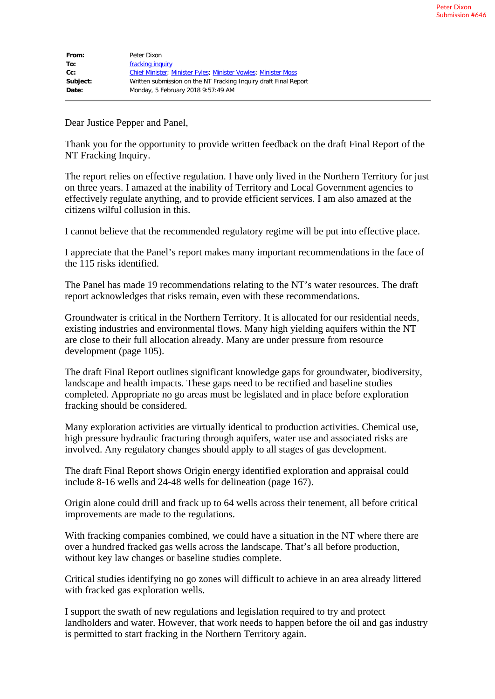| From:    | Peter Dixon                                                           |
|----------|-----------------------------------------------------------------------|
| To:      | fracking inquiry                                                      |
| $Cc$ :   | <b>Chief Minister; Minister Fyles; Minister Vowles; Minister Moss</b> |
| Subject: | Written submission on the NT Fracking Inquiry draft Final Report      |
| Date:    | Monday, 5 February 2018 9:57:49 AM                                    |

Dear Justice Pepper and Panel,

Thank you for the opportunity to provide written feedback on the draft Final Report of the NT Fracking Inquiry.

The report relies on effective regulation. I have only lived in the Northern Territory for just on three years. I amazed at the inability of Territory and Local Government agencies to effectively regulate anything, and to provide efficient services. I am also amazed at the citizens wilful collusion in this.

I cannot believe that the recommended regulatory regime will be put into effective place.

I appreciate that the Panel's report makes many important recommendations in the face of the 115 risks identified.

The Panel has made 19 recommendations relating to the NT's water resources. The draft report acknowledges that risks remain, even with these recommendations.

Groundwater is critical in the Northern Territory. It is allocated for our residential needs, existing industries and environmental flows. Many high yielding aquifers within the NT are close to their full allocation already. Many are under pressure from resource development (page 105).

The draft Final Report outlines significant knowledge gaps for groundwater, biodiversity, landscape and health impacts. These gaps need to be rectified and baseline studies completed. Appropriate no go areas must be legislated and in place before exploration fracking should be considered.

Many exploration activities are virtually identical to production activities. Chemical use, high pressure hydraulic fracturing through aquifers, water use and associated risks are involved. Any regulatory changes should apply to all stages of gas development.

The draft Final Report shows Origin energy identified exploration and appraisal could include 8-16 wells and 24-48 wells for delineation (page 167).

Origin alone could drill and frack up to 64 wells across their tenement, all before critical improvements are made to the regulations.

With fracking companies combined, we could have a situation in the NT where there are over a hundred fracked gas wells across the landscape. That's all before production, without key law changes or baseline studies complete.

Critical studies identifying no go zones will difficult to achieve in an area already littered with fracked gas exploration wells.

I support the swath of new regulations and legislation required to try and protect landholders and water. However, that work needs to happen before the oil and gas industry is permitted to start fracking in the Northern Territory again.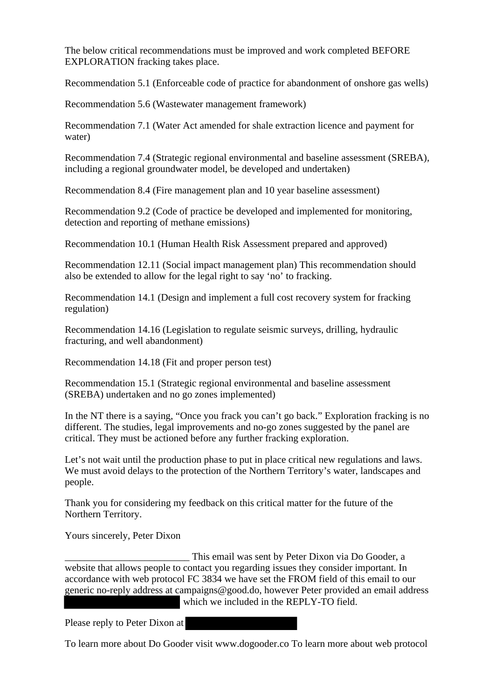The below critical recommendations must be improved and work completed BEFORE EXPLORATION fracking takes place.

Recommendation 5.1 (Enforceable code of practice for abandonment of onshore gas wells)

Recommendation 5.6 (Wastewater management framework)

Recommendation 7.1 (Water Act amended for shale extraction licence and payment for water)

Recommendation 7.4 (Strategic regional environmental and baseline assessment (SREBA), including a regional groundwater model, be developed and undertaken)

Recommendation 8.4 (Fire management plan and 10 year baseline assessment)

Recommendation 9.2 (Code of practice be developed and implemented for monitoring, detection and reporting of methane emissions)

Recommendation 10.1 (Human Health Risk Assessment prepared and approved)

Recommendation 12.11 (Social impact management plan) This recommendation should also be extended to allow for the legal right to say 'no' to fracking.

Recommendation 14.1 (Design and implement a full cost recovery system for fracking regulation)

Recommendation 14.16 (Legislation to regulate seismic surveys, drilling, hydraulic fracturing, and well abandonment)

Recommendation 14.18 (Fit and proper person test)

Recommendation 15.1 (Strategic regional environmental and baseline assessment (SREBA) undertaken and no go zones implemented)

In the NT there is a saying, "Once you frack you can't go back." Exploration fracking is no different. The studies, legal improvements and no-go zones suggested by the panel are critical. They must be actioned before any further fracking exploration.

Let's not wait until the production phase to put in place critical new regulations and laws. We must avoid delays to the protection of the Northern Territory's water, landscapes and people.

Thank you for considering my feedback on this critical matter for the future of the Northern Territory.

Yours sincerely, Peter Dixon

*\_\_\_\_\_\_\_\_\_\_\_\_\_\_\_\_\_\_\_\_\_\_\_\_*\_ This email was sent by Peter Dixon via Do Gooder, a website that allows people to contact you regarding issues they consider important. In accordance with web protocol FC 3834 we have set the FROM field of this email to our generic no-reply address at campaigns@good.do, however Peter provided an email address which we included in the REPLY-TO field.

Please reply to Peter Dixon at

To learn more about Do Gooder visit www.dogooder.co To learn more about web protocol